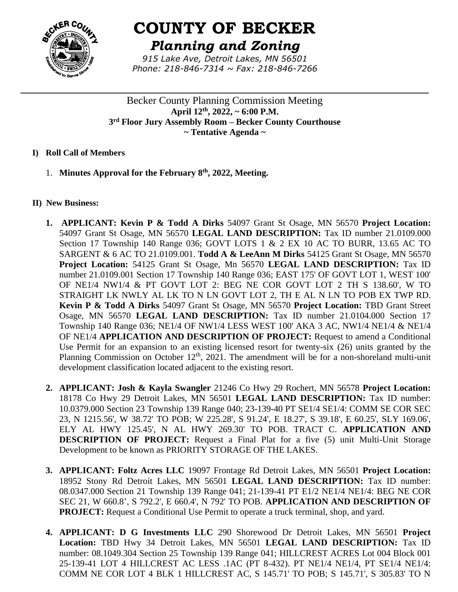

# **COUNTY OF BECKER**

*Planning and Zoning*

*915 Lake Ave, Detroit Lakes, MN 56501 Phone: 218-846-7314 ~ Fax: 218-846-7266*

**\_\_\_\_\_\_\_\_\_\_\_\_\_\_\_\_\_\_\_\_\_\_\_\_\_\_\_\_\_\_\_\_\_\_\_\_\_\_\_\_\_\_\_\_\_\_\_\_\_\_\_\_\_\_\_\_\_\_\_\_\_\_\_\_\_\_\_\_\_\_\_\_\_\_\_\_\_\_**

Becker County Planning Commission Meeting **April 12th , 2022, ~ 6:00 P.M. 3 rd Floor Jury Assembly Room – Becker County Courthouse ~ Tentative Agenda ~**

## **I) Roll Call of Members**

1. **Minutes Approval for the February 8th , 2022, Meeting.**

## **II) New Business:**

- **1. APPLICANT: Kevin P & Todd A Dirks** 54097 Grant St Osage, MN 56570 **Project Location:** 54097 Grant St Osage, MN 56570 **LEGAL LAND DESCRIPTION:** Tax ID number 21.0109.000 Section 17 Township 140 Range 036; GOVT LOTS 1 & 2 EX 10 AC TO BURR, 13.65 AC TO SARGENT & 6 AC TO 21.0109.001. **Todd A & LeeAnn M Dirks** 54125 Grant St Osage, MN 56570 **Project Location:** 54125 Grant St Osage, Mn 56570 **LEGAL LAND DESCRIPTION:** Tax ID number 21.0109.001 Section 17 Township 140 Range 036; EAST 175' OF GOVT LOT 1, WEST 100' OF NE1/4 NW1/4 & PT GOVT LOT 2: BEG NE COR GOVT LOT 2 TH S 138.60', W TO STRAIGHT LK NWLY AL LK TO N LN GOVT LOT 2, TH E AL N LN TO POB EX TWP RD. **Kevin P & Todd A Dirks** 54097 Grant St Osage, MN 56570 **Project Location:** TBD Grant Street Osage, MN 56570 **LEGAL LAND DESCRIPTION:** Tax ID number 21.0104.000 Section 17 Township 140 Range 036; NE1/4 OF NW1/4 LESS WEST 100' AKA 3 AC, NW1/4 NE1/4 & NE1/4 OF NE1/4 **APPLICATION AND DESCRIPTION OF PROJECT:** Request to amend a Conditional Use Permit for an expansion to an existing licensed resort for twenty-six (26) units granted by the Planning Commission on October  $12<sup>th</sup>$ , 2021. The amendment will be for a non-shoreland multi-unit development classification located adjacent to the existing resort.
- **2. APPLICANT: Josh & Kayla Swangler** 21246 Co Hwy 29 Rochert, MN 56578 **Project Location:** 18178 Co Hwy 29 Detroit Lakes, MN 56501 **LEGAL LAND DESCRIPTION:** Tax ID number: 10.0379.000 Section 23 Township 139 Range 040; 23-139-40 PT SE1/4 SE1/4: COMM SE COR SEC 23, N 1215.56', W 38.72' TO POB; W 225.28', S 91.24', E 18.27', S 39.18', E 60.25', SLY 169.06', ELY AL HWY 125.45', N AL HWY 269.30' TO POB. TRACT C. **APPLICATION AND DESCRIPTION OF PROJECT:** Request a Final Plat for a five (5) unit Multi-Unit Storage Development to be known as PRIORITY STORAGE OF THE LAKES.
- **3. APPLICANT: Foltz Acres LLC** 19097 Frontage Rd Detroit Lakes, MN 56501 **Project Location:** 18952 Stony Rd Detroit Lakes, MN 56501 **LEGAL LAND DESCRIPTION:** Tax ID number: 08.0347.000 Section 21 Township 139 Range 041; 21-139-41 PT E1/2 NE1/4 NE1/4: BEG NE COR SEC 21, W 660.8', S 792.2', E 660.4', N 792' TO POB. **APPLICATION AND DESCRIPTION OF PROJECT:** Request a Conditional Use Permit to operate a truck terminal, shop, and yard.
- **4. APPLICANT: D G Investments LLC** 290 Shorewood Dr Detroit Lakes, MN 56501 **Project Location:** TBD Hwy 34 Detroit Lakes, MN 56501 **LEGAL LAND DESCRIPTION:** Tax ID number: 08.1049.304 Section 25 Township 139 Range 041; HILLCREST ACRES Lot 004 Block 001 25-139-41 LOT 4 HILLCREST AC LESS .1AC (PT 8-432). PT NE1/4 NE1/4, PT SE1/4 NE1/4: COMM NE COR LOT 4 BLK 1 HILLCREST AC, S 145.71' TO POB; S 145.71', S 305.83' TO N